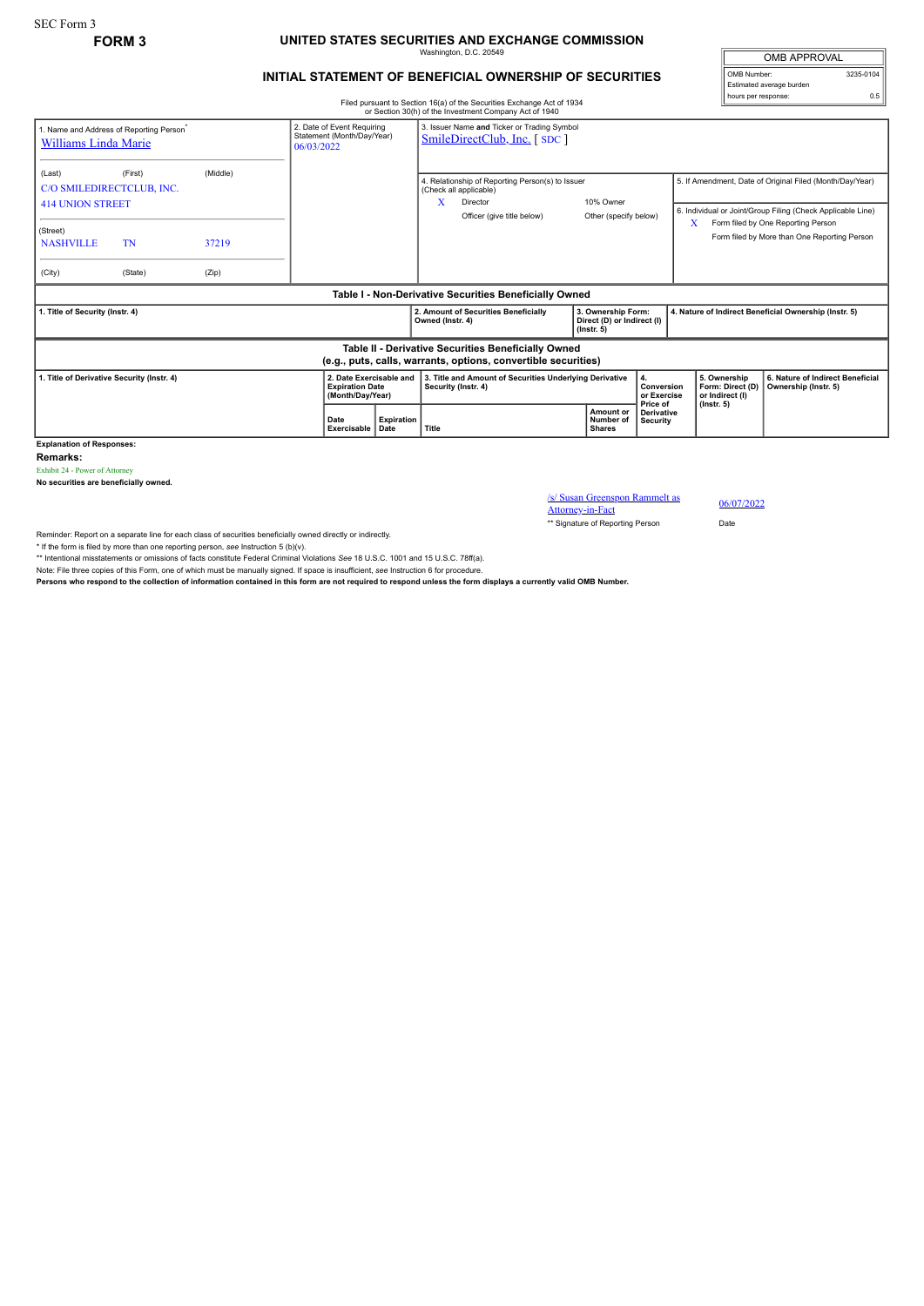## SEC Form 3

## **FORM 3 UNITED STATES SECURITIES AND EXCHANGE COMMISSION** Washington, D.C. 20549

## **INITIAL STATEMENT OF BENEFICIAL OWNERSHIP OF SECURITIES**

OMB APPROVAL OMB Number: 3235-0104 Estimated average burden hours per response: 0.5

Filed pursuant to Section 16(a) of the Securities Exchange Act of 1934 or Section 30(h) of the Investment Company Act of 1940

|                                                                                                                       |                                                                             |       |                                                                            |                                                                       |                                                                                                                                                                 | or Section 30(n) or the investment Company Act or 1940                         |  |                                                                      |                                                                                                                         |                                                                         |                                                                                    |  |
|-----------------------------------------------------------------------------------------------------------------------|-----------------------------------------------------------------------------|-------|----------------------------------------------------------------------------|-----------------------------------------------------------------------|-----------------------------------------------------------------------------------------------------------------------------------------------------------------|--------------------------------------------------------------------------------|--|----------------------------------------------------------------------|-------------------------------------------------------------------------------------------------------------------------|-------------------------------------------------------------------------|------------------------------------------------------------------------------------|--|
| 1. Name and Address of Reporting Person <sup>*</sup><br>Williams Linda Marie                                          | 2. Date of Event Requiring<br>Statement (Month/Day/Year)<br>06/03/2022      |       | 3. Issuer Name and Ticker or Trading Symbol<br>SmileDirectClub, Inc. [SDC] |                                                                       |                                                                                                                                                                 |                                                                                |  |                                                                      |                                                                                                                         |                                                                         |                                                                                    |  |
| (Last)                                                                                                                | (Middle)<br>(First)<br>C/O SMILEDIRECTCLUB, INC.<br><b>414 UNION STREET</b> |       |                                                                            |                                                                       | 4. Relationship of Reporting Person(s) to Issuer<br>(Check all applicable)<br>10% Owner<br>x<br>Director<br>Officer (give title below)<br>Other (specify below) |                                                                                |  |                                                                      | 5. If Amendment, Date of Original Filed (Month/Day/Year)<br>6. Individual or Joint/Group Filing (Check Applicable Line) |                                                                         |                                                                                    |  |
| (Street)<br><b>NASHVILLE</b>                                                                                          | TN                                                                          | 37219 |                                                                            |                                                                       |                                                                                                                                                                 |                                                                                |  |                                                                      |                                                                                                                         | X                                                                       | Form filed by One Reporting Person<br>Form filed by More than One Reporting Person |  |
| (City)                                                                                                                | (State)                                                                     | (Zip) |                                                                            |                                                                       |                                                                                                                                                                 |                                                                                |  |                                                                      |                                                                                                                         |                                                                         |                                                                                    |  |
| Table I - Non-Derivative Securities Beneficially Owned                                                                |                                                                             |       |                                                                            |                                                                       |                                                                                                                                                                 |                                                                                |  |                                                                      |                                                                                                                         |                                                                         |                                                                                    |  |
| 1. Title of Security (Instr. 4)                                                                                       |                                                                             |       |                                                                            |                                                                       | Owned (Instr. 4)                                                                                                                                                | 2. Amount of Securities Beneficially                                           |  | 3. Ownership Form:<br>Direct (D) or Indirect (I)<br>$($ lnstr. 5 $)$ |                                                                                                                         |                                                                         | 4. Nature of Indirect Beneficial Ownership (Instr. 5)                              |  |
| Table II - Derivative Securities Beneficially Owned<br>(e.g., puts, calls, warrants, options, convertible securities) |                                                                             |       |                                                                            |                                                                       |                                                                                                                                                                 |                                                                                |  |                                                                      |                                                                                                                         |                                                                         |                                                                                    |  |
| 1. Title of Derivative Security (Instr. 4)                                                                            |                                                                             |       |                                                                            | 2. Date Exercisable and<br><b>Expiration Date</b><br>(Month/Day/Year) |                                                                                                                                                                 | 3. Title and Amount of Securities Underlying Derivative<br>Security (Instr. 4) |  | Conversion<br>or Exercise<br>Price of                                |                                                                                                                         | 5. Ownership<br>Form: Direct (D)<br>or Indirect (I)<br>$($ lnstr. 5 $)$ | 6. Nature of Indirect Beneficial<br>Ownership (Instr. 5)                           |  |
|                                                                                                                       |                                                                             |       | Date<br>Exercisable                                                        | <b>Expiration</b><br><b>Date</b>                                      | Title                                                                                                                                                           |                                                                                |  | Amount or<br>Number of<br><b>Shares</b>                              | <b>Derivative</b><br>Security                                                                                           |                                                                         |                                                                                    |  |
| <b>Explanation of Responses:</b>                                                                                      |                                                                             |       |                                                                            |                                                                       |                                                                                                                                                                 |                                                                                |  |                                                                      |                                                                                                                         |                                                                         |                                                                                    |  |

**Remarks:**

Exhibit 24 - Power of Attorney **No securities are beneficially owned.**

/s/ Susan Greenspon Rammelt as  $\frac{\text{S}}{\text{Stusan Greenspon Rammelt as}}$  06/07/2022<br>Attorney-in-Fact

\*\* Signature of Reporting Person Date

Reminder: Report on a separate line for each class of securities beneficially owned directly or indirectly.

\* If the form is filed by more than one reporting person, *see* Instruction 5 (b)(v).

\*\* Intentional misstatements or omissions of facts constitute Federal Criminal Violations *See* 18 U.S.C. 1001 and 15 U.S.C. 78ff(a). Note: File three copies of this Form, one of which must be manually signed. If space is insufficient, *see* Instruction 6 for procedure.

**Persons who respond to the collection of information contained in this form are not required to respond unless the form displays a currently valid OMB Number.**